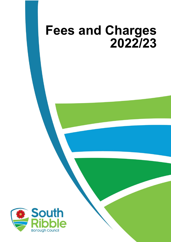

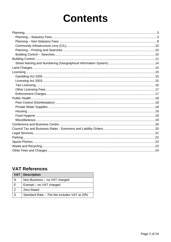# **Contents**

# **VAT References**

| <b>VAT</b>   | <b>Description</b>                          |
|--------------|---------------------------------------------|
| N            | Non-Business - no VAT charged               |
| E            | Exempt - no VAT charged                     |
| 7            | <b>Zero Rated</b>                           |
| <sub>S</sub> | Standard Rate - The fee includes VAT at 20% |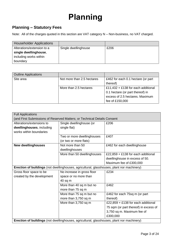# **Planning**

# <span id="page-2-1"></span><span id="page-2-0"></span>**Planning – Statutory Fees**

Note: All of the charges quoted in this section are VAT category N – Non-business, no VAT charged.

| <b>Householder Applications</b> |                      |      |
|---------------------------------|----------------------|------|
| Alterations/extension to a      | Single dwellinghouse | £206 |
| single dwellinghouse,           |                      |      |
| including works within          |                      |      |
| boundary                        |                      |      |

| <b>Outline Applications</b> |                            |                                    |
|-----------------------------|----------------------------|------------------------------------|
| Site area                   | Not more than 2.5 hectares | £462 for each 0.1 hectare (or part |
|                             |                            | thereof)                           |
|                             | More than 2.5 hectares     | £11,432 + £138 for each additional |
|                             |                            | 0.1 hectare (or part thereof) in   |
|                             |                            | excess of 2.5 hectares. Maximum    |
|                             |                            | fee of £150,000                    |

| <b>Full Applications</b>                                                                   |                                                                          |                                       |
|--------------------------------------------------------------------------------------------|--------------------------------------------------------------------------|---------------------------------------|
|                                                                                            | (and First Submissions of Reserved Matters; or Technical Details Consent |                                       |
| Alterations/extensions to                                                                  | Single dwellinghouse (or                                                 | £206                                  |
| dwellinghouses, including                                                                  | single flat)                                                             |                                       |
| works within boundaries                                                                    |                                                                          |                                       |
|                                                                                            | Two or more dwellinghouses                                               | £407                                  |
|                                                                                            | (or two or more flats)                                                   |                                       |
| <b>New dwellinghouses</b>                                                                  | Not more than 50                                                         | £462 for each dwellinghouse           |
|                                                                                            | dwellinghouses                                                           |                                       |
|                                                                                            | More than 50 dwellinghouses                                              | £22,859 + £138 for each additional    |
|                                                                                            |                                                                          | dwellinghouse in excess of 50.        |
|                                                                                            |                                                                          | Maximum fee of £300,000               |
| Erection of buildings (not dwellinghouses, agricultural, glasshouses, plant nor machinery) |                                                                          |                                       |
| Gross floor space to be                                                                    | No increase in gross floor                                               | £234                                  |
| created by the development                                                                 | space or no more than                                                    |                                       |
|                                                                                            | 40 sq m                                                                  |                                       |
|                                                                                            | More than 40 sq m but no                                                 | £462                                  |
|                                                                                            | more than 75 sq m                                                        |                                       |
|                                                                                            | More than 75 sq m but no                                                 | £462 for each 75sq m (or part         |
|                                                                                            | more than 3,750 sq m                                                     | thereof)                              |
|                                                                                            | More than 3,750 sq m                                                     | £22,859 + £138 for each additional    |
|                                                                                            |                                                                          | 75 sqm (or part thereof) in excess of |
|                                                                                            |                                                                          | 3,750 sq m. Maximum fee of            |
|                                                                                            |                                                                          | £300,000                              |
| Erection of buildings (not dwellinghouses, agricultural, glasshouses, plant nor machinery) |                                                                          |                                       |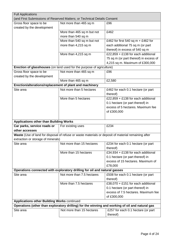| <b>Full Applications</b>                                |                                                                           |                                                                                                     |
|---------------------------------------------------------|---------------------------------------------------------------------------|-----------------------------------------------------------------------------------------------------|
|                                                         | (and First Submissions of Reserved Matters; or Technical Details Consent  |                                                                                                     |
| Gross floor space to be                                 | Not more than 465 sq m                                                    | £96                                                                                                 |
| created by the development                              |                                                                           |                                                                                                     |
|                                                         | More than 465 sq m but not                                                | £462                                                                                                |
|                                                         | more than 540 sq m                                                        |                                                                                                     |
|                                                         | More than 540 sq m but not                                                | £462 for first 540 sq m + £462 for                                                                  |
|                                                         | more than 4,215 sq m                                                      | each additional 75 sq m (or part                                                                    |
|                                                         |                                                                           | thereof) in excess of 540 sq m                                                                      |
|                                                         | More than 4,215 sq m                                                      | £22,859 + £138 for each additional                                                                  |
|                                                         |                                                                           | 75 sq m (or part thereof) in excess of                                                              |
|                                                         |                                                                           | 4,215 sq m. Maximum of £300,000                                                                     |
|                                                         | Erection of glasshouses (on land used for the purpose of agriculture)     |                                                                                                     |
| Gross floor space to be                                 | Not more than 465 sq m                                                    | £96                                                                                                 |
| created by the development                              |                                                                           |                                                                                                     |
|                                                         | More than 465 sq m                                                        | £2,580                                                                                              |
| Erection/alterations/replacement of plant and machinery |                                                                           |                                                                                                     |
| Site area                                               | Not more than 5 hectares                                                  | £462 for each 0.1 hectare (or part                                                                  |
|                                                         |                                                                           | thereof)                                                                                            |
|                                                         | More than 5 hectares                                                      | £22,859 + £138 for each additional                                                                  |
|                                                         |                                                                           | 0.1 hectare (or part thereof) in                                                                    |
|                                                         |                                                                           | excess of 5 hectares. Maximum fee                                                                   |
|                                                         |                                                                           | of £300,000                                                                                         |
|                                                         |                                                                           |                                                                                                     |
| <b>Applications other than Building Works</b>           |                                                                           |                                                                                                     |
| Car parks, service roads or                             | For existing uses                                                         | £234                                                                                                |
| other accesses                                          |                                                                           |                                                                                                     |
| extraction or storage of minerals)                      |                                                                           | Waste (Use of land for disposal of refuse or waste materials or deposit of material remaining after |
| Site area                                               | Not more than 15 hectares                                                 | £234 for each 0.1 hectare (or part                                                                  |
|                                                         |                                                                           | thereof)                                                                                            |
|                                                         | More than 15 hectares                                                     | £34,934 + £138 for each additional                                                                  |
|                                                         |                                                                           | 0.1 hectare (or part thereof) in                                                                    |
|                                                         |                                                                           | excess of 15 hectares. Maximum of                                                                   |
|                                                         |                                                                           | £78,000                                                                                             |
|                                                         | Operations connected with exploratory drilling for oil and natural gasses |                                                                                                     |
| Site area                                               | Not more than 7.5 hectares                                                | £508 for each 0.1 hectare (or part                                                                  |
|                                                         |                                                                           | thereof)                                                                                            |
|                                                         | More than 7.5 hectares                                                    | £38,070 + £151 for each additional                                                                  |
|                                                         |                                                                           | 0.1 hectare (or part thereof) in                                                                    |
|                                                         |                                                                           | excess of 7.5 hectares. Maximum fee                                                                 |
|                                                         |                                                                           | of £300,000                                                                                         |
| <b>Applications other Building Works continued</b>      |                                                                           |                                                                                                     |
|                                                         |                                                                           | Operations (other than exploratory drilling) for the winning and working of oil and natural gas     |
| Site area                                               | Not more than 15 hectares                                                 | £257 for each 0.1 hectare (or part                                                                  |
|                                                         |                                                                           | thereof)                                                                                            |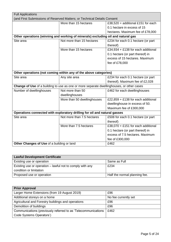| <b>Full Applications</b>                                                                  |                                                                                  |                                    |
|-------------------------------------------------------------------------------------------|----------------------------------------------------------------------------------|------------------------------------|
|                                                                                           | (and First Submissions of Reserved Matters; or Technical Details Consent         |                                    |
|                                                                                           | More than 15 hectares                                                            | £38,520 + additional £151 for each |
|                                                                                           |                                                                                  | 0.1 hectare in excess of 15        |
|                                                                                           |                                                                                  | hectares. Maximum fee of £78,000   |
|                                                                                           | Other operations (winning and working of minerals) excluding oil and natural gas |                                    |
| Site area                                                                                 | Not more than 15 hectares                                                        | £234 for each 0.1 hectare (or part |
|                                                                                           |                                                                                  | thereof)                           |
|                                                                                           | More than 15 hectares                                                            | £34,934 + £138 for each additional |
|                                                                                           |                                                                                  | 0.1 hectare (or part thereof) in   |
|                                                                                           |                                                                                  | excess of 15 hectares. Maximum     |
|                                                                                           |                                                                                  | fee of £78,000                     |
|                                                                                           |                                                                                  |                                    |
| Other operations (not coming within any of the above categories)                          |                                                                                  |                                    |
| Site area                                                                                 | Any site area                                                                    | £234 for each 0.1 hectare (or part |
|                                                                                           |                                                                                  | thereof). Maximum fee of £2,028    |
| Change of Use of a building to use as one or more separate dwellinghouses, or other cases |                                                                                  |                                    |
| Number of dwellinghouses                                                                  | Not more than 50                                                                 | £462 for each dwellinghouses       |
|                                                                                           | dwellinghouses                                                                   |                                    |
|                                                                                           | More than 50 dwellinghouses                                                      | £22,859 + £138 for each additional |
|                                                                                           |                                                                                  | dwellinghouse in excess of 50.     |
|                                                                                           |                                                                                  | Maximum fee of £300,000            |
| Operations connected with exploratory drilling for oil and natural gasses                 |                                                                                  |                                    |
| Site area                                                                                 | Not more than 7.5 hectares                                                       | £508 for each 0.1 hectare (or part |
|                                                                                           |                                                                                  | thereof)                           |
|                                                                                           | More than 7.5 hectares                                                           | £38,070 + £151 for each additional |
|                                                                                           |                                                                                  | 0.1 hectare (or part thereof) in   |
|                                                                                           |                                                                                  | excess of 7.5 hectares. Maximum    |
|                                                                                           |                                                                                  | fee of £300,000                    |
| Other Changes of Use of a building or land                                                |                                                                                  | £462                               |

| <b>Lawful Development Certificate</b>                     |                               |
|-----------------------------------------------------------|-------------------------------|
| Existing use or operation                                 | Same as Full                  |
| Existing use or operation – lawful not to comply with any | £234                          |
| condition or limitation                                   |                               |
| Proposed use or operation                                 | Half the normal planning fee. |

| <b>Prior Approval</b>                                         |                      |
|---------------------------------------------------------------|----------------------|
| Larger Home Extensions (from 19 August 2019)                  | £96                  |
| Additional storeys on a home                                  | No fee currently set |
| Agricultural and Forestry buildings and operations            | £96                  |
| Demolition of buildings                                       | £96                  |
| Communications (previously referred to as 'Telecommunications | £462                 |
| Code Systems Operators')                                      |                      |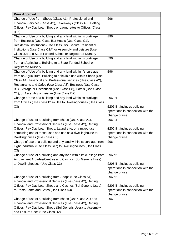| <b>Prior Approval</b>                                              |                                   |
|--------------------------------------------------------------------|-----------------------------------|
| Change of Use from Shops (Class A1), Professional and              | £96                               |
| Financial Services (Class A2), Takeaways (Class A5), Betting       |                                   |
| Offices, Pay Day Loan Shops or Laundrettes to Offices (Class       |                                   |
| B1a)                                                               |                                   |
| Change of Use of a building and any land within its curtilage      | £96                               |
| from Business (Use Class B1) Hotels (Use Class C1),                |                                   |
| Residential Institutions (Use Class C2), Secure Residential        |                                   |
| Institutions (Use Class C2A) or Assembly and Leisure (Use          |                                   |
| Class D2) to a State Funded School or Registered Nursery           |                                   |
| Change of Use of a building and any land within its curtilage      | £96                               |
| from an Agricultural Building to a State-Funded School or          |                                   |
| <b>Registered Nursery</b>                                          |                                   |
| Change of Use of a building and any land within it's curtilage     | £96                               |
| from an Agricultural Building to a flexible use within Shops (Use  |                                   |
| Class A1), Financial and Professional services (Use Class A2),     |                                   |
| Restaurants and Cafes (Use Class A3), Business (Use Class          |                                   |
| B1), Storage or Distribution (Use Class B8), Hotels (Use Class     |                                   |
| C1), or Assembly or Leisure (Use Class D2)                         |                                   |
| Change of Use of a building and any land within its curtilage      | £96; or                           |
| from Offices (Use Class B1a) Use to Dwellinghouses (Use Class      |                                   |
| C3)                                                                | £206 if it includes building      |
|                                                                    | operations in connection with the |
|                                                                    | change of use                     |
| Change of use of a building from shops (Use Class A1),             | £96; or                           |
| Financial and Professional Services (Use Class A2), Betting        |                                   |
| Offices, Pay Day Loan Shops, Laundrette; or a mixed use            | £206 if it includes building      |
| combining one of these uses and use as a dwellinghouse to          | operations in connection with the |
| Dwellinghouses (Use Class C3)                                      | change of use                     |
| Charge of use of a building and any land within its curtilage from | £96                               |
| Light Industrial (Use Class B1c) to Dwellinghouses (Use Class      |                                   |
| C3)                                                                |                                   |
| Change of use of a building and any land within its curtilage from | £96 or;                           |
| Amusement Arcades/Centres and Casinos (Sui Generis Uses)           |                                   |
| to Dwellinghouses (Use Class C3)                                   | £206 if it includes building      |
|                                                                    | operations in connection with the |
|                                                                    | change of use                     |
| Change of use of a building from Shops (Use Class A1),             | £96 or;                           |
| Financial and Professional Services (Use Class A2), Betting        |                                   |
| Offices, Pay Day Loan Shops and Casinos (Sui Generis Uses)         | £206 if it includes building      |
| to Restaurants and Cafes (Use Class A3)                            | operations in connection with the |
|                                                                    | change of use                     |
| Change of use of a building from shops (Use Class A1) and          | £96                               |
| Financial and Professional Services (Use Class A2), Betting        |                                   |
| Offices, Pay Day Loan Shops (Sui Generis Uses) to Assembly         |                                   |
| and Leisure Uses (Use Class D2)                                    |                                   |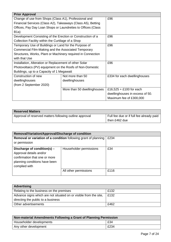| <b>Prior Approval</b>                                        |                             |                                 |
|--------------------------------------------------------------|-----------------------------|---------------------------------|
| Change of use from Shops (Class A1), Professional and        |                             | £96                             |
| Financial Services (Class A2), Takeaways (Class A5), Betting |                             |                                 |
| Offices, Pay Day Loan Shops or Laundrettes to Offices (Class |                             |                                 |
| B <sub>1</sub> a)                                            |                             |                                 |
| Development Consisting of the Erection or Construction of a  |                             | £96                             |
| Collection Facility within the Curtilage of a Shop           |                             |                                 |
| Temporary Use of Buildings or Land for the Purpose of        |                             | £96                             |
| Commercial Film-Making and the Associated Temporary          |                             |                                 |
| Structures, Works, Plant or Machinery required in Connection |                             |                                 |
| with that Use                                                |                             |                                 |
| Installation, Alteration or Replacement of other Solar       |                             | £96                             |
| Photovoltaics (PV) equipment on the Roofs of Non-Domestic    |                             |                                 |
| Buildings, up to a Capacity of 1 Megawatt                    |                             |                                 |
| Construction of new                                          | Not more than 50            | £334 for each dwellinghouses    |
| dwellinghouses                                               | dwellinghouses              |                                 |
| (from 2 September 2020)                                      |                             |                                 |
|                                                              | More than 50 dwellinghouses | £16,525 + £100 for each         |
|                                                              |                             | dwellinghouses in excess of 50. |
|                                                              |                             | Maximum fee of £300,000         |

| <b>Reserved Matters</b>                                 |                                          |
|---------------------------------------------------------|------------------------------------------|
| Approval of reserved matters following outline approval | Full fee due or if full fee already paid |
|                                                         | then £462 due                            |

| Removal/Variation/Approval/Discharge of condition                                                                                           |                         |      |  |  |  |
|---------------------------------------------------------------------------------------------------------------------------------------------|-------------------------|------|--|--|--|
| Removal or variation of a condition following grant of planning                                                                             | £234                    |      |  |  |  |
| or permission                                                                                                                               |                         |      |  |  |  |
| Discharge of condition(s) $-$<br>Approval details and/or<br>confirmation that one or more<br>planning conditions have been<br>complied with | Householder permissions | £34  |  |  |  |
|                                                                                                                                             | All other permissions   | £116 |  |  |  |

| <b>Advertising</b>                                                |      |
|-------------------------------------------------------------------|------|
| Relating to the business on the premises                          | £132 |
| Advance signs which are not situated on or visible from the site, | £132 |
| directing the public to a business                                |      |
| Other advertisements                                              | £462 |

| Non-material Amendments Following a Grant of Planning Permission |      |
|------------------------------------------------------------------|------|
| Householder developments                                         | £34  |
| Any other development                                            | £234 |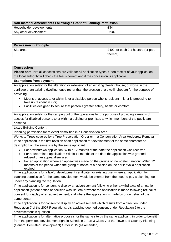| Non-material Amendments Following a Grant of Planning Permission |      |
|------------------------------------------------------------------|------|
| Householder developments                                         | £34  |
| Any other development                                            | £234 |

| <b>Permission in Principle</b> |                                    |
|--------------------------------|------------------------------------|
| Site area                      | E402 for each 0.1 hectare (or part |
|                                | thereof)                           |

#### **Concessions**

**Please note:** Not all concessions are valid for all application types. Upon receipt of your application, the local authority will check the fee is correct and if the concession is applicable.

#### **Exemptions from payment**

An application solely for the alteration or extension of an existing dwellinghouse; or works in the curtilage of an existing dwellinghouse (other than the erection of a dwellinghouse) for the purpose of providing:

- Means of access to or within it for a disabled person who is resident in it, or is proposing to take up resident in it or;
- Facilities designed to secure that person's greater safety, health or comfort

An application solely for the carrying out of the operations for the purpose of providing a means of access for disabled persons to or within a building or premises to which members of the public are admitted

Listed Building Content

Planning permission for relevant demolition in a Conservation Area

Works to Trees covered by a Tree Preservation Order or in a Conservation Area Hedgerow Removal

If the application is the first revision of an application for development of the same character or description on the same site by the same applicant:

- For a withdrawn application: Within 12 months of the date the application was received
- For a determined application: Within 12 months of the date the application was granted, refused or an appeal dismissed
- For an application where an appeal was made on the groups on non-determination: Within 12 months of the period when the giving of notice of a decision on the earlier valid application expired

If the application is for a lawful development certificate, for existing use, where an application for planning permission for the same development would be exempt from the need to pay a planning fee under any planning fee regulation

If the application is for consent to display an advertisement following either a withdrawal of an earlier application (before notice of decision was issued) or where the application is made following refusal of consent for display of an advertisement, and where the application is made by or on behalf of the same person

If the application is for consent to display an advertisement which results from a direction under Regulation 7 of the 2007 Regulations, dis-applying deemed consent under Regulation 6 to the advertisement in question

If the application is for alternative proposals for the same site by the same applicant, in order to benefit from the permitted development right in Schedule 2 Part 3 Class V of the Town and Country Planning (General Permitted Development) Order 2015 (as amended)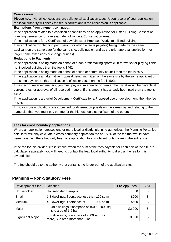#### **Concessions**

**Please note:** Not all concessions are valid for all application types. Upon receipt of your application, the local authority will check the fee is correct and if the concession is applicable.

**Exemptions from payment** continued…

If the application relates to a condition or conditions on an application for Listed Building Consent or planning permission for a relevant demolition in a Conservation Area

If the application is for a Certificate of Lawfulness of Proposed Works to a listed building

If an application for planning permission (for which a fee is payable) being made by the same applicant on the same date for the same site, buildings or land as the prior approval application (for larger home extensions or change or uses)

#### **Reductions to Payments**

If the application is being made on behalf of a non-profit making sports club for works for playing fields not involved buildings then the fee is £462.

If the application is being made on behalf of parish or community council then the fee is 50%

If the application is an alternative proposal being submitted on the same site by the same applicant on the same day, where this application is of lesser cost then the fee is 50%

In respect of reserved matters, you must pay a sum equal to or greater than what would be payable at current rates for approval of all reserved matters. If this amount has already been paid then the fee is £462

If the application is a Lawful Development Certificate for a Proposed use or development, then the fee is 50%

If two or more applications are submitted for different proposals on the same day and relating to the same site than you must pay the fee for the highest fee plus half sum of the others

#### **Fees for cross boundary applications**

Where an application crosses one or more local or district planning authorities, the Planning Portal fee calculator will only calculate a cross boundary application fee as 150% of the fee that would have been payable if there had only been one application to a single authority covering the entire site.

If the fee for this divided site is smaller when the sum of the fees payable for each part of the site are calculated separately, you will need to contact the lead local authority to discuss the fee for this divided site.

The fee should go to the authority that contains the larger part of the application site.

| Development Size  | <b>Defintion</b>                                                            | Pre-App Fees | VAT |
|-------------------|-----------------------------------------------------------------------------|--------------|-----|
| Householder       | Householder pre-apps                                                        | £50          | S   |
| Small             | 1-3 dwellings, floorspace less than 100 sq m                                | £200         |     |
| Medium            | 4-9 dwellings, floorspace of 100 - 1000 sq m                                | £500         | S   |
| Major             | 10-49 dwellings, floorspace of 1000 - 2000 sq<br>m, site area of 1-2 ha     | £2,000       | S   |
| Significant Major | 50+ dwellings, floorspace of 2000 sq m or<br>more, Site area more than 2 ha | £3,000       |     |

### <span id="page-8-0"></span>**Planning – Non-Statutory Fees**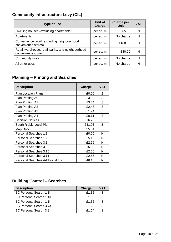# <span id="page-9-0"></span>**Community Infrastructure Levy (CIL)**

| <b>Type of Fee</b>                                                      | Unit of<br>Charge | <b>Charge per</b><br>Unit | <b>VAT</b> |
|-------------------------------------------------------------------------|-------------------|---------------------------|------------|
| Dwelling houses (excluding apartments)                                  | per sq. m         | £65.00                    | N          |
| Apartments                                                              | per sq. m         | No charge                 | N          |
| Convenience retail (excluding neighbourhood<br>convenience stores)      | per sq. m         | £160.00                   | N          |
| Retail warehouse, retail parks, and neighbourhood<br>convenience stores | per sq. m         | £40.00                    | N          |
| Community uses                                                          | per sq. m         | No charge                 | N          |
| All other uses                                                          | per sq. m         | No charge                 | N          |

# <span id="page-9-1"></span>**Planning – Printing and Searches**

| <b>Description</b>                       | Charge | VAT |
|------------------------------------------|--------|-----|
| <b>Plan Location Plans</b>               | £0.00  | Z   |
| Plan Printing A0                         | £3.30  | S   |
| Plan Printing A1                         | £3.04  | S   |
| Plan Printing A2                         | £2.48  | S   |
| <b>Plan Printing A3</b>                  | £1.94  | S   |
| Plan Printing A4                         | £0.11  | S   |
| <b>Decision Notices</b>                  | £16.76 | S   |
| South Ribble Local Plan                  | £41.03 | Z   |
| Map Only                                 | £25.64 | Z   |
| <b>Personal Searches 1.1</b>             | £0.00  | N   |
| <b>Personal Searches 1.2</b>             | £5.13  | N   |
| <b>Personal Searches 3.1</b>             | £2.56  | N   |
| Personal Searches 3.9                    | £15.39 | N   |
| Personal Searches 3.10                   | £2.56  | N   |
| Personal Searches 3.11                   | £2.56  | N   |
| <b>Personal Searches Additional Info</b> | £46.16 | N   |

# <span id="page-9-2"></span>**Building Control – Searches**

| <b>Description</b>             | Charge | VAT |
|--------------------------------|--------|-----|
| BC Personal Search 1.1j        | £1.32  |     |
| BC Personal Search 1.1k        | £1.32  |     |
| <b>BC Personal Search 1.11</b> | £1.32  |     |
| BC Personal Search 3.7a        | £1.23  |     |
| BC Personal Search 3.8         | £1.54  |     |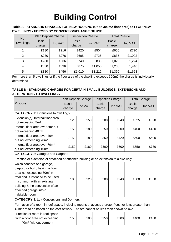# **Building Control**

### <span id="page-10-0"></span>**Table A - STANDARD CHARGES FOR NEW HOUSING (Up to 300m2 floor area) OR FOR NEW DWELLINGS - FORMED BY CONVERSION/CHANGE OF USE**

| <b>Plan Deposit Charge</b><br>No. |              |         | <b>Inspection Charge</b> |         | <b>Total Charge</b> |         |  |
|-----------------------------------|--------------|---------|--------------------------|---------|---------------------|---------|--|
| <b>Dwellings</b>                  | <b>Basic</b> | Inc VAT | <b>Basic</b>             | Inc VAT | <b>Basic</b>        |         |  |
|                                   | charge       |         | charge                   |         | charge              | Inc VAT |  |
|                                   | £180         | £216    | £420                     | £504    | £600                | £720    |  |
| $\overline{2}$                    | £230         | £276    | £605                     | £726    | £835                | £1,002  |  |
| 3                                 | £280         | £336    | £740                     | £888    | £1,020              | £1,224  |  |
| 4                                 | £330         | £396    | £875                     | £1,050  | £1,205              | £1,446  |  |
| 5                                 | £380         | £456    | £1,010                   | £1,212  | £1,390              | £1,668  |  |

For more than 5 dwellings or if the floor area of the dwelling exceeds 300m2 the charge is individually determined

### **TABLE B - STANDARD CHARGES FOR CERTAIN SMALL BUILDINGS, EXTENSIONS AND ALTERATIONS TO DWELLINGS**

|                                                                                                                                                                                                                                                            |                        | Plan Deposit Charge | <b>Inspection Charge</b> |         | <b>Total Charge</b>    |         |
|------------------------------------------------------------------------------------------------------------------------------------------------------------------------------------------------------------------------------------------------------------|------------------------|---------------------|--------------------------|---------|------------------------|---------|
| Proposal                                                                                                                                                                                                                                                   | <b>Basic</b><br>charge | Inc VAT             | <b>Basic</b><br>charge   | Inc VAT | <b>Basic</b><br>charge | Inc VAT |
| CATEGORY 1: Extensions to dwellings                                                                                                                                                                                                                        |                        |                     |                          |         |                        |         |
| Extension(s): Internal floor area<br>not exceeding 5m <sup>2</sup>                                                                                                                                                                                         | £125                   | £150                | £200                     | £240    | £325                   | £390    |
| Internal floor area over 5m <sup>2</sup> but<br>not exceeding 40m <sup>2</sup>                                                                                                                                                                             | £150                   | £180                | £250                     | £300    | £400                   | £480    |
| Internal floor area over 40m <sup>2</sup><br>but not exceeding 70m <sup>2</sup>                                                                                                                                                                            | £150                   | £180                | £350                     | £420    | £500                   | £600    |
| Internal floor area over 70m <sup>2</sup><br>but not exceeding 100m <sup>2</sup>                                                                                                                                                                           | £150                   | £180                | £500                     | £600    | £650                   | £780    |
| <b>CATEGORY 2: Garages and Carports</b>                                                                                                                                                                                                                    |                        |                     |                          |         |                        |         |
| Erection or extension of detached or attached building or an extension to a dwelling:                                                                                                                                                                      |                        |                     |                          |         |                        |         |
| which consists of a garage,<br>carport, or both, having a floor<br>area not exceeding 60m <sup>2</sup> in<br>total and is intended to be used<br>in common with an existing<br>building & the conversion of an<br>attached garage into a<br>habitable room | £100                   | £120                | £200                     | £240    | £300                   | £360    |
| <b>CATEGORY 3: Loft Conversions and Dormers</b>                                                                                                                                                                                                            |                        |                     |                          |         |                        |         |
| Formation of a room in roof space, including means of access thereto. Fees for lofts greater than<br>40m <sup>2</sup> are to be based on the cost of work. The fee cannot be less than shown below:                                                        |                        |                     |                          |         |                        |         |
| Erection of room in roof space<br>with a floor area not exceeding<br>40m <sup>2</sup> (without dormer)                                                                                                                                                     | £150                   | £180                | £250                     | £300    | £400                   | £480    |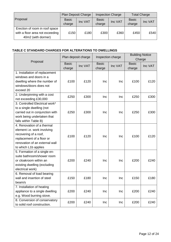|                                                                                         | Plan Deposit Charge    |         |                        | <b>Total Charge</b><br><b>Inspection Charge</b> |                        |         |
|-----------------------------------------------------------------------------------------|------------------------|---------|------------------------|-------------------------------------------------|------------------------|---------|
| Proposal                                                                                | <b>Basic</b><br>charge | Inc VAT | <b>Basic</b><br>charge | Inc VAT                                         | <b>Basic</b><br>charge | Inc VAT |
| Erection of room in roof space<br>with a floor area not exceeding<br>40m2 (with dormer) | £150                   | £180    | £300                   | £360                                            | £450                   | £540    |

### **TABLE C STANDARD CHARGES FOR ALTERATIONS TO DWELLINGS**

| Proposal                                                   |                        | Plan deposit charge | Inspection charge      |         | <b>Building Notice</b><br>Charge |         |
|------------------------------------------------------------|------------------------|---------------------|------------------------|---------|----------------------------------|---------|
|                                                            | <b>Basic</b><br>charge | Inc VAT             | <b>Basic</b><br>charge | Inc VAT | <b>Basic</b><br>charge           | Inc VAT |
| 1. Installation of replacement                             |                        |                     |                        |         |                                  |         |
| windows and doors in a                                     |                        |                     |                        |         |                                  |         |
| dwelling where the number of                               | £100                   | £120                | Inc                    | Inc     | £100                             | £120    |
| windows/doors does not                                     |                        |                     |                        |         |                                  |         |
| exceed 20                                                  |                        |                     |                        |         |                                  |         |
| 2. Underpinning with a cost                                | £250                   | £300                | Inc                    | Inc     | £250                             | £300    |
| not exceeding £30,000                                      |                        |                     |                        |         |                                  |         |
| 3. Controlled Electrical work*                             |                        |                     |                        |         |                                  |         |
| to a single dwelling (not                                  |                        |                     |                        |         |                                  |         |
| carried out in conjunction with                            | £250                   | £300                | Inc                    | Inc     | £250                             | £300    |
| work being undertaken that                                 |                        |                     |                        |         |                                  |         |
| falls within Table B)                                      |                        |                     |                        |         |                                  |         |
| 4. Renovation of a thermal                                 |                        |                     |                        |         |                                  |         |
| element i.e. work involving                                |                        |                     |                        |         |                                  |         |
| recovering of a roof,                                      | £100                   | £120                | Inc                    | Inc     | £100                             | £120    |
| replacement of a floor or                                  |                        |                     |                        |         |                                  |         |
| renovation of an external wall                             |                        |                     |                        |         |                                  |         |
| to which L1b applies                                       |                        |                     |                        |         |                                  |         |
| 5. Formation of a single en-                               |                        |                     |                        |         |                                  |         |
| suite bathroom/shower room                                 |                        |                     |                        |         |                                  |         |
| or cloakroom within an                                     | £200                   | £240                | Inc                    | Inc     | £200                             | £240    |
| existing dwelling (excluding                               |                        |                     |                        |         |                                  |         |
| electrical work)                                           |                        |                     |                        |         |                                  |         |
| 6. Removal of load bearing                                 |                        |                     |                        |         |                                  |         |
| wall and insertion of steel                                | £150                   | £180                | Inc                    | Inc     | £150                             | £180    |
| beam/s                                                     |                        |                     |                        |         |                                  |         |
| 7. Installation of heating                                 |                        |                     |                        |         |                                  |         |
| appliance to a single dwelling<br>e.g. Wood burning stove. | £200                   | £240                | Inc                    | Inc     | £200                             | £240    |
| 8. Conversion of conservatory                              |                        |                     |                        |         |                                  |         |
| to solid roof construction.                                | £200                   | £240                | Inc                    | Inc     | £200                             | £240    |
|                                                            |                        |                     |                        |         |                                  |         |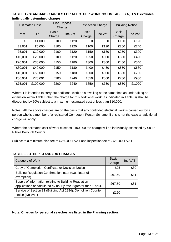### **TABLE D - STANDARD CHARGES FOR ALL OTHER WORK NOT IN TABLES A, B & C excludes individually determined charges**

|         | <b>Estimated Cost</b> | <b>Plan Deposit</b><br>Charge |         | <b>Inspection Charge</b> |         | <b>Building Notice</b> |         |
|---------|-----------------------|-------------------------------|---------|--------------------------|---------|------------------------|---------|
| From    | To                    | <b>Basic</b><br>Charge        | Inc Vat | <b>Basic</b><br>Charge   | Inc Vat | Basic<br>Charge        | Inc Vat |
| £0      | £1,000                | £100                          | £120    | £0                       | £0      | £100                   | £120    |
| £1,001  | £5,000                | £100                          | £120    | £100                     | £120    | £200                   | £240    |
| £5,001  | £10,000               | £100                          | £120    | £150                     | £180    | £250                   | £300    |
| £10,001 | £20,000               | £100                          | £120    | £250                     | £300    | £350                   | £420    |
| £20,001 | £30,000               | £150                          | £180    | £300                     | £360    | £450                   | £540    |
| £30,001 | £40,000               | £150                          | £180    | £400                     | £480    | £550                   | £660    |
| £40,001 | £50,000               | £150                          | £180    | £500                     | £600    | £650                   | £780    |
| £50,001 | £75,001               | £200                          | £240    | £550                     | £660    | £750                   | £900    |
| £75,001 | £100,000              | £200                          | £240    | £650                     | £780    | £850                   | £1,020  |

Where it is intended to carry out additional work on a dwelling at the same time as undertaking an extension within Table B then the charge for this additional work (as indicated in Table D) shall be discounted by 50% subject to a maximum estimated cost of less than £10,000.

Notes: All the above charges are on the basis that any controlled electrical work is carried out by a person who is a member of a registered Competent Person Scheme, if this is not the case an additional charge will apply.

Where the estimated cost of work exceeds £100,000 the charge will be individually assessed by South Ribble Borough Council

Subject to a minimum plan fee of £250.00 + VAT and inspection fee of £650.00 + VAT

| Category of Work                                                                                                           | <b>Basic</b><br>Charge | Inc VAT |
|----------------------------------------------------------------------------------------------------------------------------|------------------------|---------|
| Copy of Completion Certificate or Decision Notice                                                                          | £25                    | £30     |
| Building Regulation Confirmation letter (e.g., letter of<br>exemption)                                                     | £67.50                 | £81     |
| Supply of information relating to Building Regulation<br>applications or calculated by hourly rate if greater than 1 hour. | £67.50                 | £81     |
| Service of Section 81 (Building Act 1984): Demolition Counter<br>notice (No VAT)                                           | £150                   |         |

### **TABLE E - OTHER STANDARD CHARGES**

### **Note: Charges for personal searches are listed in the Planning section.**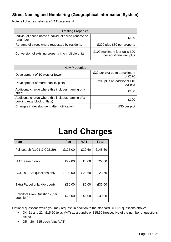### <span id="page-13-0"></span>**Street Naming and Numbering (Geographical Information System)**

Note: all charges below are VAT category N

| <b>Existing Properties</b>                                     |                                                         |
|----------------------------------------------------------------|---------------------------------------------------------|
| Individual house name / individual house rename or<br>renumber | £100                                                    |
| Rename of street where requested by residents                  | £200 plus £30 per property                              |
| Conversion of existing property into multiple units            | £100 maximum four units £20<br>per additional unit plus |

| <b>New Properties</b>                                                               |                                         |  |  |  |
|-------------------------------------------------------------------------------------|-----------------------------------------|--|--|--|
| Development of 10 plots or fewer                                                    | £30 per plot up to a maximum<br>of £170 |  |  |  |
| Development of more than 10 plots                                                   | £200 plus an additional £10<br>per plot |  |  |  |
| Additional charge where this includes naming of a<br>street                         | £100                                    |  |  |  |
| Additional charge where this includes naming of a<br>building (e.g. block of flats) | £100                                    |  |  |  |
| Changes in development after notification                                           | £30 per plot                            |  |  |  |

# **Land Charges**

<span id="page-13-1"></span>

| Item                                         | Fee     | <b>VAT</b> | <b>Total</b> |
|----------------------------------------------|---------|------------|--------------|
| Full search (LLC1 & CON29)                   | £125.00 | £20.60     | £145.60      |
| LLC1 search only                             | £22.00  | £0.00      | £22.00       |
| CON29 – Set questions only                   | £103.00 | £20.60     | £123.60      |
| Extra Parcel of land/property                | £30.00  | £6.00      | £36.00       |
| Solicitors Own Questions (per<br>question) * | £25.00  | £5.00      | £30.00       |

Optional questions which you may request, in addition to the standard CON29 questions above:

- Q4, 21 and 22 £15.50 (plus VAT) as a bundle or £15.50 irrespective of the number of questions asked.
- $Q5 20 £15$  each (plus VAT)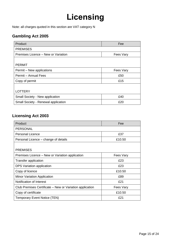# **Licensing**

<span id="page-14-0"></span>Note: all charges quoted in this section are VAT category N

### <span id="page-14-1"></span>**Gambling Act 2005**

| Product                             | Fee       |
|-------------------------------------|-----------|
| <b>PREMISES</b>                     |           |
| Premises Licence - New or Variation | Fees Vary |
|                                     |           |
| <b>PERMIT</b>                       |           |
| Permit – New applications           | Fees Vary |
| Permit - Annual Fees                | £50       |
| Copy of permit                      | £15       |
|                                     |           |
| <b>LOTTERY</b>                      |           |
| Small Society - New application     | £40       |
| Small Society - Renewal application | £20       |

# <span id="page-14-2"></span>**Licensing Act 2003**

| Product                                                  | Fee       |
|----------------------------------------------------------|-----------|
| <b>PERSONAL</b>                                          |           |
| <b>Personal Licence</b>                                  | £37       |
| Personal Licence – change of details                     | £10.50    |
| <b>PREMISES</b>                                          |           |
| Premises Licence – New or Variation application          | Fees Vary |
| Transfer application                                     | £23       |
| DPS Variation application                                | £23       |
| Copy of licence                                          | £10.50    |
| <b>Minor Variation Application</b>                       | £89       |
| Notification of Interest                                 | £21       |
| Club Premises Certificate – New or Variation application | Fees Vary |
| Copy of certificate                                      | £10.50    |
| Temporary Event Notice (TEN)                             | £21       |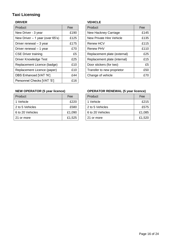# <span id="page-15-0"></span>**Taxi Licensing**

| Product                          | Fee  | Product                         | Fee  |
|----------------------------------|------|---------------------------------|------|
| New Driver - 3 year              | £190 | New Hackney Carriage            | £145 |
| New Driver $-1$ year (over 65's) | £125 | <b>New Private Hire Vehicle</b> | £135 |
| Driver renewal - 3 year          | £175 | <b>Renew HCV</b>                | £115 |
| Driver renewal - 1 year          | £70  | <b>Renew PHV</b>                | £110 |
| <b>CSE Driver training</b>       | £5   | Replacement plate (external)    | £25  |
| <b>Driver Knowledge Test</b>     | £25  | Replacement plate (internal)    | £15  |
| Replacement Licence (badge)      | £10  | Door stickers (for two)         | £5   |
| Replacement Licence (paper)      | £10  | Transfer to new proprietor      | £50  |
| <b>DBS Enhanced [VAT 'N']</b>    | £44  | Change of vehicle               | £70  |
| Personnel Checks [VAT 'S']       | £16  |                                 |      |

### **DRIVER VEHICLE**

| Product                      | Fee  |
|------------------------------|------|
| <b>New Hackney Carriage</b>  | £145 |
| New Private Hire Vehicle     | £135 |
| Renew HCV                    | £115 |
| Renew PHV                    | £110 |
| Replacement plate (external) | £25  |
| Replacement plate (internal) | £15  |
| Door stickers (for two)      | £5   |
| Transfer to new proprietor   | £50  |
| Change of vehicle            |      |

| Product          | Fee    | Product          | Fee  |
|------------------|--------|------------------|------|
| 1 Vehicle        | £220   | 1 Vehicle        | £2   |
| 2 to 5 Vehicles  | £580   | 2 to 5 Vehicles  | £5   |
| 6 to 20 Vehicles | £1,090 | 6 to 20 Vehicles | £1,0 |
| 21 or more       | £1,525 | 21 or more       | £1,5 |

### **NEW OPERATOR (5 year licence) OPERATOR RENEWAL (5 year licence)**

| Product          | Fee    | Product          | Fee    |
|------------------|--------|------------------|--------|
| 1 Vehicle        | £220   | 1 Vehicle        | £215   |
| 2 to 5 Vehicles  | £580   | 2 to 5 Vehicles  | £575   |
| 6 to 20 Vehicles | £1,090 | 6 to 20 Vehicles | £1,085 |
| 21 or more       | £1,525 | 21 or more       | £1,520 |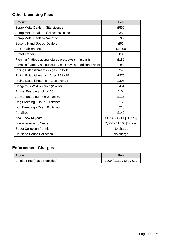# <span id="page-16-0"></span>**Other Licensing Fees**

| Product                                                            | Fee                       |
|--------------------------------------------------------------------|---------------------------|
| Scrap Metal Dealer - Site Licence                                  | £550                      |
| Scrap Metal Dealer - Collector's licence                           | £350                      |
| Scrap Metal Dealer - Variation                                     | £90                       |
| <b>Second Hand Goods' Dealers</b>                                  | £55                       |
| <b>Sex Establishment</b>                                           | £2,000                    |
| <b>Street Traders</b>                                              | £885                      |
| Piercing / tattoo / acupuncture / electrolysis - first artist      | £180                      |
| Piercing / tattoo / acupuncture / electrolysis - additional artist | £98                       |
| Riding Establishments - Ages up to 15                              | £245                      |
| Riding Establishments - Ages 16 to 25                              | £275                      |
| Riding Establishments - Ages over 25                               | £305                      |
| Dangerous Wild Animals (2 year)                                    | £454                      |
| Animal Boarding - Up to 30                                         | £104                      |
| Animal Boarding - More than 30                                     | £126                      |
| Dog Breeding - Up to 10 bitches                                    | £150                      |
| Dog Breeding - Over 10 bitches                                     | £210                      |
| Pet Shop                                                           | £140                      |
| $Zoo$ – new (4 years)                                              | £1,236 / £711 [14.2 ex]   |
| Zoo - renewal (6 Years)                                            | £2,040 / £1,106 [14.2 ex] |
| <b>Street Collection Permit</b>                                    | No charge                 |
| <b>House to House Collection</b>                                   | No charge                 |

# <span id="page-16-1"></span>**Enforcement Charges**

| Product                      | Fee                     |
|------------------------------|-------------------------|
| Smoke Free (Fixed Penalties) | £200 / £150 / £50 / £30 |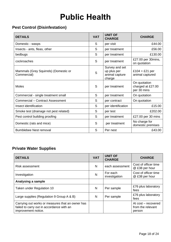# **Public Health**

# <span id="page-17-1"></span><span id="page-17-0"></span>**Pest Control (Disinfestation)**

| <b>DETAILS</b>                                       | <b>VAT</b> | <b>UNIT OF</b><br><b>CHARGE</b>                           | <b>CHARGE</b>                                    |
|------------------------------------------------------|------------|-----------------------------------------------------------|--------------------------------------------------|
| Domestic - wasps                                     | S          | per visit                                                 | £44.00                                           |
| Insects - ants, fleas, other                         | S          | per treatment                                             | £56.00                                           |
| bedbugs                                              | S          | per treatment                                             | £130.00                                          |
| cockroaches                                          | S          | per treatment                                             | £27.00 per 30mins,<br>on quotation               |
| Mammals (Grey Squirrels) (Domestic or<br>Commercial) | S          | Survey and set<br>up plus per<br>animal capture<br>charge | $£104 + £21$ per<br>animal captured              |
| Moles                                                | S          | per treatment                                             | On quotation<br>charged at £27.00<br>per 30 mins |
| Commercial - single treatment small                  | S          | per treatment                                             | On quotation                                     |
| <b>Commercial - Contract Assessment</b>              | S          | per contract                                              | On quotation                                     |
| Insect identification                                | S          | per identification                                        | £15.00                                           |
| Smoke test (drainage not pest related)               | S          | per test                                                  | £202.00                                          |
| Pest control building proofing                       | S          | per treatment                                             | £27.00 per 30 mins                               |
| Domestic (rats and mice)                             | S          | per treatment                                             | No charge for<br>domestic premises               |
| <b>Bumblebee Nest removal</b>                        | S          | Per nest                                                  | £43.00                                           |

# <span id="page-17-2"></span>**Private Water Supplies**

| <b>DETAILS</b>                                                                                                       | <b>VAT</b> | <b>UNIT OF</b><br><b>CHARGE</b> | <b>CHARGE</b>                                      |
|----------------------------------------------------------------------------------------------------------------------|------------|---------------------------------|----------------------------------------------------|
| Risk assessment                                                                                                      | N          | each assessment                 | Cost of officer time<br>@ £38 per hour             |
| Investigation                                                                                                        | N          | For each<br>investigation       | Cost of officer time<br>@ £38 per hour             |
| Analysing a sample                                                                                                   |            |                                 |                                                    |
| Taken under Regulation 10                                                                                            | N          | Per sample                      | £76 plus laboratory<br>fees                        |
| Large supplies (Regulation 9 Group A & B)                                                                            | N          | Per sample                      | £76 plus laboratory<br>fees                        |
| Carrying out works or measures that an owner has<br>failed to carry out in accordance with an<br>improvement notice. |            |                                 | At cost – recovered<br>from the relevant<br>person |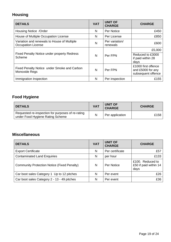# <span id="page-18-0"></span>**Housing**

| <b>DETAILS</b>                                                           | <b>VAT</b> | <b>UNIT OF</b><br><b>CHARGE</b> | <b>CHARGE</b>                                                  |
|--------------------------------------------------------------------------|------------|---------------------------------|----------------------------------------------------------------|
| Housing Notice /Order                                                    | N          | Per Notice                      | £450                                                           |
| House of Multiple Occupation License                                     | N          | Per License                     | £850                                                           |
| Variation and renewals to House of Multiple<br><b>Occupation License</b> | N          | Per variation/<br>renewals      | £600                                                           |
|                                                                          |            |                                 | £5,000                                                         |
| <b>Fixed Penalty Notice under property Redress</b><br>Scheme             | N          | Per FPN                         | Reduced to £3000<br>if paid within 28<br>days                  |
| Fixed Penalty Notice under Smoke and Carbon<br>Monoxide Regs             | N          | Per FPN                         | £1000 first offence<br>and £5000 for any<br>subsequent offence |
| Immigration Inspection                                                   | N          | Per inspection                  | £155                                                           |

# <span id="page-18-1"></span>**Food Hygiene**

| <b>DETAILS</b>                                                                        | <b>VAT</b> | <b>UNIT OF</b><br><b>CHARGE</b> | <b>CHARGE</b> |
|---------------------------------------------------------------------------------------|------------|---------------------------------|---------------|
| Requested re-inspection for purposes of re-rating<br>under Food Hygiene Rating Scheme | N          | Per application                 | £158          |

### <span id="page-18-2"></span>**Miscellaneous**

| <b>DETAILS</b>                              | <b>VAT</b> | <b>UNIT OF</b><br><b>CHARGE</b> | <b>CHARGE</b>                                     |
|---------------------------------------------|------------|---------------------------------|---------------------------------------------------|
| <b>Export Certificate</b>                   | N          | Per certificate                 | £57                                               |
| <b>Contaminated Land Enquiries</b>          | N          | per hour                        | £133                                              |
| Community Protection Notice (Fixed Penalty) | N          | Per Notice                      | £100. Reduced to<br>£50 if paid within 14<br>days |
| Car boot sales Category 1 Up to 12 pitches  | N          | Per event                       | £26                                               |
| Car boot sales Category 2 - 13 - 49 pitches | N          | Per event                       | £36                                               |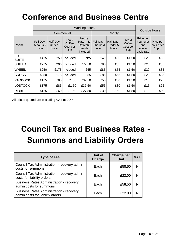# <span id="page-19-0"></span>**Conference and Business Centre**

|                             | <b>Working hours</b>            |                                |                                    |                                                      |                                 |                                |                                    |                                                      |                                 |
|-----------------------------|---------------------------------|--------------------------------|------------------------------------|------------------------------------------------------|---------------------------------|--------------------------------|------------------------------------|------------------------------------------------------|---------------------------------|
|                             |                                 |                                | Commercial                         |                                                      | Charity                         |                                |                                    | <b>Outside Hours</b>                                 |                                 |
| Room                        | Full Day -<br>5 hours &<br>over | Half Day -<br>Under 5<br>hours | Tea &<br>Coffee<br>Cost per<br>cup | Hourly<br>Rate - No<br>Refresh-<br>ments<br>included | Full Day -<br>5 hours &<br>over | Half Day -<br>Under 5<br>hours | Tea &<br>Coffee<br>Cost per<br>cup | Price per<br>hour over<br>and<br>above<br>basic rate | Price per<br>hour after<br>10pm |
| <b>FULL</b><br><b>SUITE</b> | £425                            | £250                           | Included                           | N/A                                                  | £140                            | £85                            | £1.50                              | £20                                                  | £35                             |
| <b>SHIELD</b>               | £275                            | £200                           | Included                           | £72.50                                               | £85                             | £55                            | £1.50                              | £20                                                  | £35                             |
| <b>WHEEL</b>                | £250                            | £175                           | Included                           | £55                                                  | £85                             | £55                            | £1.50                              | £20                                                  | £35                             |
| <b>CROSS</b>                | £250                            | £175                           | Included                           | £55                                                  | £85                             | £55                            | £1.50                              | £20                                                  | £35                             |
| <b>PADDOCK</b>              | £175                            | £85                            | £1.50                              | £37.50                                               | £55                             | £30                            | £1.50                              | £15                                                  | £25                             |
| <b>LOSTOCK</b>              | £175                            | £85                            | £1.50                              | £37.50                                               | £55                             | £30                            | £1.50                              | £15                                                  | £25                             |
| <b>RIBBLE</b>               | £125                            | £60                            | £1.50                              | £27.50                                               | £30                             | £17.50                         | £1.50                              | £10                                                  | £20                             |

All prices quoted are excluding VAT at 20%

# <span id="page-19-1"></span>**Council Tax and Business Rates - Summons and Liability Orders**

| <b>Type of Fee</b>                                                                  | Unit of<br>Charge | <b>Charge per</b><br><b>Unit</b> | <b>VAT</b> |
|-------------------------------------------------------------------------------------|-------------------|----------------------------------|------------|
| Council Tax Administration - recovery admin<br>costs for summons                    | Each              | £58.50                           | N          |
| Council Tax Administration - recovery admin<br>costs for liability orders           | Each              | £22.00                           | N          |
| <b>Business Rates Administration - recovery</b><br>admin costs for summons          | Each              | £58.50                           | N          |
| <b>Business Rates Administration - recovery</b><br>admin costs for liability orders | Each              | £22.00                           | N          |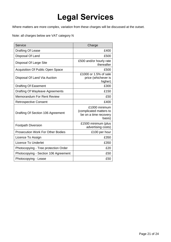# **Legal Services**

<span id="page-20-0"></span>Where matters are more complex, variation from these charges will be discussed at the outset.

Note: all charges below are VAT category N

| Service                                  | Charge                                                                      |
|------------------------------------------|-----------------------------------------------------------------------------|
| Drafting Of Lease                        | £400                                                                        |
| Disposal Of Land                         | £500                                                                        |
| Disposal Of Large Site                   | £500 and/or hourly rate<br>thereafter                                       |
| <b>Acquisition Of Public Open Space</b>  | £500                                                                        |
| Disposal Of Land Via Auction             | £1000 or 1.5% of sale<br>price (whichever is<br>higher)                     |
| <b>Drafting Of Easement</b>              | £300                                                                        |
| Drafting Of Wayleave Agreements          | £150                                                                        |
| Memorandum For Rent Review               | £50                                                                         |
| <b>Retrospective Consent</b>             | £400                                                                        |
| Drafting Of Section 106 Agreement        | £1000 minimum<br>(complicated matters to<br>be on a time recovery<br>basis) |
| <b>Footpath Diversion</b>                | £1500 minimum (plus<br>advertising costs)                                   |
| <b>Prosecution Work For Other Bodies</b> | £100 per hour                                                               |
| Licence To Assign                        | £350                                                                        |
| <b>Licence To Underlet</b>               | £350                                                                        |
| Photocopying - Tree protection Order     | £20                                                                         |
| Photocopying - Section 106 Agreement     | £50                                                                         |
| Photocopying - Lease                     | £50                                                                         |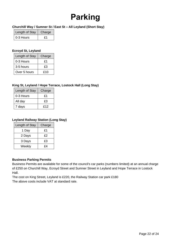# **Parking**

### <span id="page-21-0"></span>**Churchill Way / Sumner St / East St – All Leyland (Short Stay)**

| Length of Stay | Charge |
|----------------|--------|
| 0-3 Hours      |        |

#### **Ecroyd St, Leyland**

| Length of Stay | Charge |
|----------------|--------|
| 0-3 Hours      | £1     |
| 3-5 hours      | £З     |
| Over 5 hours   | £10    |

### **King St, Leyland / Hope Terrace, Lostock Hall (Long Stay)**

| Length of Stay | Charge |
|----------------|--------|
| 0-3 Hours      | £1     |
| All day        | £3     |
| 7 days         | F12    |

### **Leyland Railway Station (Long Stay)**

| Length of Stay | Charge |
|----------------|--------|
| 1 Day          | £1     |
| 2 Days         | £2     |
| 3 Days         | £3     |
| Weekly         | £4     |

#### **Business Parking Permits**

Business Permits are available for some of the council's car parks (numbers limited) at an annual charge of £250 on Churchill Way, Ecroyd Street and Sumner Street in Leyland and Hope Terrace in Lostock Hall.

The cost on King Street, Leyland is £220, the Railway Station car park £180 The above costs include VAT at standard rate.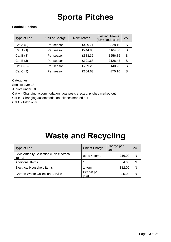# **Sports Pitches**

#### <span id="page-22-0"></span>**Football Pitches**

| Type of Fee | Unit of Charge | <b>New Teams</b> | <b>Existing Teams</b><br>(33% Reduction) | <b>VAT</b> |
|-------------|----------------|------------------|------------------------------------------|------------|
| Cat A(S)    | Per season     | £489.71          | £328.10                                  | S          |
| Cat $A(J)$  | Per season     | £244.85          | £164.50                                  | S          |
| Cat B(S)    | Per season     | £383.37          | £256.86                                  | S          |
| Cat B (J)   | Per season     | £191.68          | £128.43                                  | S          |
| Cat C(S)    | Per season     | £209.26          | £140.20                                  | S          |
| Cat C (J)   | Per season     | £104.63          | £70.10                                   | S          |

Categories:

Seniors over 18

Juniors under 18

Cat A - Changing accommodation, goal posts erected, pitches marked out

Cat B - Changing accommodation, pitches marked out

Cat C - Pitch only

# **Waste and Recycling**

<span id="page-22-1"></span>

| Type of Fee                                               | Unit of Charge      | Charge per<br>Unit | VAT |
|-----------------------------------------------------------|---------------------|--------------------|-----|
| <b>Civic Amenity Collection (Non electrical</b><br>items) | up to 4 items       | £16.00             | N   |
| <b>Additional Items</b>                                   |                     | £4.00              | N   |
| Electrical Household items                                | 1 item              | £12.00             | N   |
| <b>Garden Waste Collection Service</b>                    | Per bin per<br>vear | £25.00             | N   |